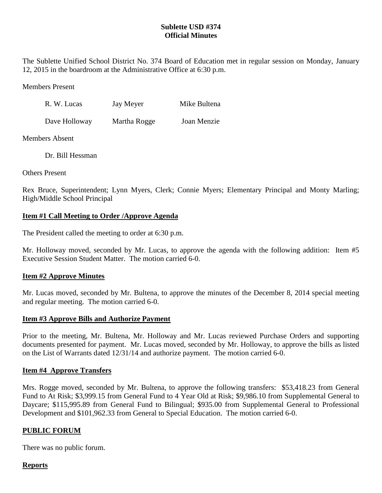# **Sublette USD #374 Official Minutes**

The Sublette Unified School District No. 374 Board of Education met in regular session on Monday, January 12, 2015 in the boardroom at the Administrative Office at 6:30 p.m.

Members Present

| R. W. Lucas   | Jay Meyer    | Mike Bultena |
|---------------|--------------|--------------|
| Dave Holloway | Martha Rogge | Joan Menzie  |

Members Absent

Dr. Bill Hessman

Others Present

Rex Bruce, Superintendent; Lynn Myers, Clerk; Connie Myers; Elementary Principal and Monty Marling; High/Middle School Principal

### **Item #1 Call Meeting to Order /Approve Agenda**

The President called the meeting to order at 6:30 p.m.

Mr. Holloway moved, seconded by Mr. Lucas, to approve the agenda with the following addition: Item #5 Executive Session Student Matter. The motion carried 6-0.

### **Item #2 Approve Minutes**

Mr. Lucas moved, seconded by Mr. Bultena, to approve the minutes of the December 8, 2014 special meeting and regular meeting. The motion carried 6-0.

### **Item #3 Approve Bills and Authorize Payment**

Prior to the meeting, Mr. Bultena, Mr. Holloway and Mr. Lucas reviewed Purchase Orders and supporting documents presented for payment. Mr. Lucas moved, seconded by Mr. Holloway, to approve the bills as listed on the List of Warrants dated 12/31/14 and authorize payment. The motion carried 6-0.

#### **Item #4 Approve Transfers**

Mrs. Rogge moved, seconded by Mr. Bultena, to approve the following transfers: \$53,418.23 from General Fund to At Risk; \$3,999.15 from General Fund to 4 Year Old at Risk; \$9,986.10 from Supplemental General to Daycare; \$115,995.89 from General Fund to Bilingual; \$935.00 from Supplemental General to Professional Development and \$101,962.33 from General to Special Education. The motion carried 6-0.

### **PUBLIC FORUM**

There was no public forum.

### **Reports**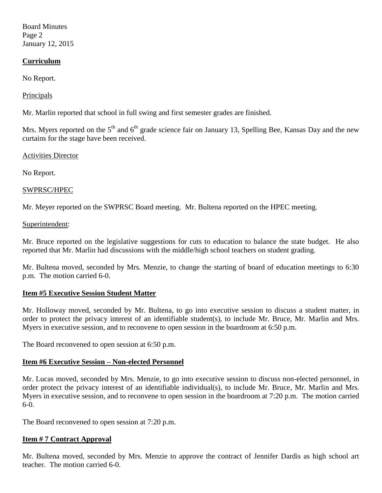Board Minutes Page 2 January 12, 2015

### **Curriculum**

No Report.

# **Principals**

Mr. Marlin reported that school in full swing and first semester grades are finished.

Mrs. Myers reported on the  $5<sup>th</sup>$  and  $6<sup>th</sup>$  grade science fair on January 13, Spelling Bee, Kansas Day and the new curtains for the stage have been received.

### Activities Director

No Report.

# SWPRSC/HPEC

Mr. Meyer reported on the SWPRSC Board meeting. Mr. Bultena reported on the HPEC meeting.

### Superintendent:

Mr. Bruce reported on the legislative suggestions for cuts to education to balance the state budget. He also reported that Mr. Marlin had discussions with the middle/high school teachers on student grading.

Mr. Bultena moved, seconded by Mrs. Menzie, to change the starting of board of education meetings to 6:30 p.m. The motion carried 6-0.

### **Item #5 Executive Session Student Matter**

Mr. Holloway moved, seconded by Mr. Bultena, to go into executive session to discuss a student matter, in order to protect the privacy interest of an identifiable student(s), to include Mr. Bruce, Mr. Marlin and Mrs. Myers in executive session, and to reconvene to open session in the boardroom at 6:50 p.m.

The Board reconvened to open session at 6:50 p.m.

### **Item #6 Executive Session – Non-elected Personnel**

Mr. Lucas moved, seconded by Mrs. Menzie, to go into executive session to discuss non-elected personnel, in order protect the privacy interest of an identifiable individual(s), to include Mr. Bruce, Mr. Marlin and Mrs. Myers in executive session, and to reconvene to open session in the boardroom at 7:20 p.m. The motion carried 6-0.

The Board reconvened to open session at 7:20 p.m.

### **Item # 7 Contract Approval**

Mr. Bultena moved, seconded by Mrs. Menzie to approve the contract of Jennifer Dardis as high school art teacher. The motion carried 6-0.